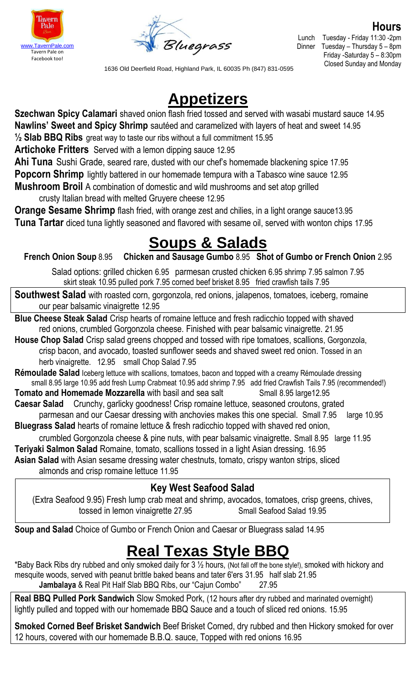



**Hours** Lunch Tuesday - Friday 11:30 -2pm Tuesday – Thursday  $5 - 8$ pm Friday -Saturday 5 – 8:30pm Closed Sunday and Monday

1636 Old Deerfield Road, Highland Park, IL 60035 Ph (847) 831-0595

## **Appetizers**

**Szechwan Spicy Calamari** shaved onion flash fried tossed and served with wasabi mustard sauce 14.95 **Nawlins' Sweet and Spicy Shrimp** sautéed and caramelized with layers of heat and sweet 14.95 **½ Slab BBQ Ribs** great way to taste our ribs without a full commitment 15.95

**Artichoke Fritters** Served with a lemon dipping sauce 12.95

**Ahi Tuna** Sushi Grade, seared rare, dusted with our chef's homemade blackening spice 17.95 **Popcorn Shrimp** lightly battered in our homemade tempura with a Tabasco wine sauce 12.95 **Mushroom Broil** A combination of domestic and wild mushrooms and set atop grilled crusty Italian bread with melted Gruyere cheese 12.95

**Orange Sesame Shrimp** flash fried, with orange zest and chilies, in a light orange sauce 13.95 **Tuna Tartar** diced tuna lightly seasoned and flavored with sesame oil, served with wonton chips 17.95

# **Soups & Salads**

**French Onion Soup** 8.95 **Chicken and Sausage Gumbo** 8.95 **Shot of Gumbo or French Onion** 2.95

Salad options: grilled chicken 6.95 parmesan crusted chicken 6.95 shrimp 7.95 salmon 7.95 skirt steak 10.95 pulled pork 7.95 corned beef brisket 8.95 fried crawfish tails 7.95

**Southwest Salad** with roasted corn, gorgonzola, red onions, jalapenos, tomatoes, iceberg, romaine our pear balsamic vinaigrette 12.95

**Blue Cheese Steak Salad** Crisp hearts of romaine lettuce and fresh radicchio topped with shaved red onions, crumbled Gorgonzola cheese. Finished with pear balsamic vinaigrette. 21.95

**House Chop Salad** Crisp salad greens chopped and tossed with ripe tomatoes, scallions, Gorgonzola, crisp bacon, and avocado, toasted sunflower seeds and shaved sweet red onion. Tossed in an herb vinaigrette. 12.95 small Chop Salad 7.95

**Rémoulade Salad** Iceberg lettuce with scallions, tomatoes, bacon and topped with a creamy Rémoulade dressing small 8.95 large 10.95 add fresh Lump Crabmeat 10.95 add shrimp 7.95 add fried Crawfish Tails 7.95 (recommended!)

**Tomato and Homemade Mozzarella** with basil and sea salt Small 8.95 large12.95

**Caesar Salad** Crunchy, garlicky goodness! Crisp romaine lettuce, seasoned croutons, grated

parmesan and our Caesar dressing with anchovies makes this one special. Small 7.95 large 10.95 **Bluegrass Salad** hearts of romaine lettuce & fresh radicchio topped with shaved red onion,

crumbled Gorgonzola cheese & pine nuts, with pear balsamic vinaigrette. Small 8.95 large 11.95 **Teriyaki Salmon Salad** Romaine, tomato, scallions tossed in a light Asian dressing. 16.95

**Asian Salad** with Asian sesame dressing water chestnuts, tomato, crispy wanton strips, sliced

almonds and crisp romaine lettuce 11.95

#### **Key West Seafood Salad**

(Extra Seafood 9.95) Fresh lump crab meat and shrimp, avocados, tomatoes, crisp greens, chives, tossed in lemon vinaigrette 27.95 Small Seafood Salad 19.95

**Soup and Salad** Choice of Gumbo or French Onion and Caesar or Bluegrass salad 14.95

## **Real Texas Style BBQ**

\*Baby Back Ribs dry rubbed and only smoked daily for 3 ½ hours, (Not fall off the bone style!), smoked with hickory and mesquite woods, served with peanut brittle baked beans and tater 6'ers 31.95 half slab 21.95 **Jambalaya** & Real Pit Half Slab BBQ Ribs, our "Cajun Combo" 27.95

**Real BBQ Pulled Pork Sandwich** Slow Smoked Pork, (12 hours after dry rubbed and marinated overnight) lightly pulled and topped with our homemade BBQ Sauce and a touch of sliced red onions. 15.95

**Smoked Corned Beef Brisket Sandwich** Beef Brisket Corned, dry rubbed and then Hickory smoked for over 12 hours, covered with our homemade B.B.Q. sauce, Topped with red onions 16.95